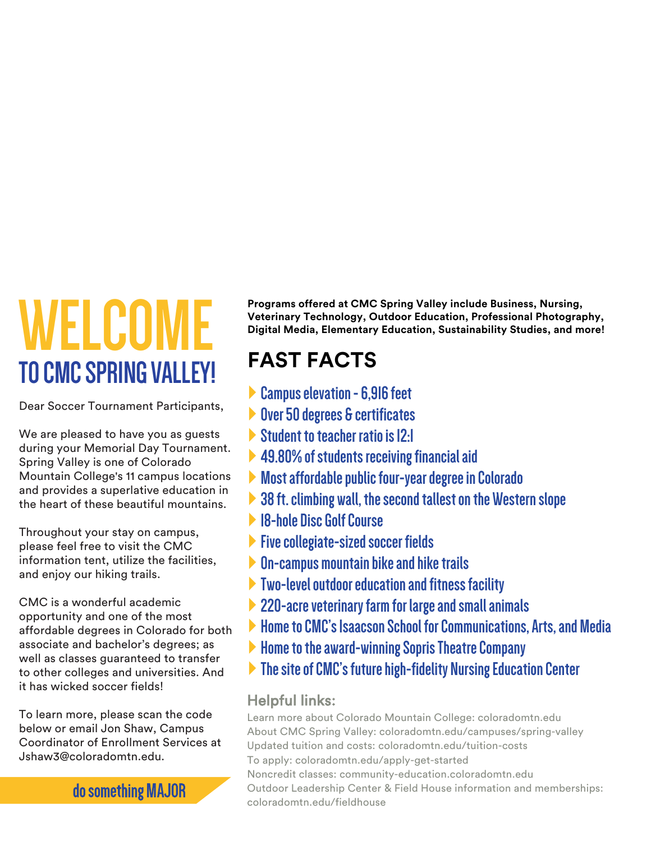**Programs offered at CMC Spring Valley include Business, Nursing, Veterinary Technology, Outdoor Education, Professional Photography, Digital Media, Elementary Education, Sustainability Studies, and more!**

## **WELCOME TO CMC SPRING VALLEY!**

Dear Soccer Tournament Participants,

We are pleased to have you as guests during your Memorial Day Tournament. Spring Valley is one of Colorado Mountain College's 11 campus locations and provides a superlative education in the heart of these beautiful mountains.

Throughout your stay on campus, please feel free to visit the CMC information tent, utilize the facilities, and enjoy our hiking trails.

CMC is a wonderful academic opportunity and one of the most affordable degrees in Colorado for both associate and bachelor's degrees; as well as classes guaranteed to transfer to other colleges and universities. And it has wicked soccer fields!

To learn more, please contact Jon Shaw, Campus Coordinator of Enrollment Services at Jshaw3@coloradomtn.edu.

 $\overline{\phantom{a}}$ ,  $\overline{\phantom{a}}$ .

- **Campus elevation 6,916 feet**
- **Over 50 degrees & certificates**
- } **Student to teacher ratio- 12:1**
- } **49.80% of students receiving financialaid**
- } **Most affordable public four-year degreein Colorado**
- ▶ 38 ft. climbing wall, the second tallest on the Western slope
- **18-hole Disc Golf Course & High Ropes Course**
- } **Five collegiate-sized soccer fields**
- **On-campus mountain bike and hike trails**
- } **Two-level outdoor education and fitness facility**
- } **220-acre veterinary farm for large and small animals**
- 

 $\blacktriangleright$ 

 $\blacktriangleright$ **Example 1 cson School for Communications, Arts, and Media** 

 $|1/6|$   $|1/6|$   $|1/6|$   $|1/2|$   $|1/2|$   $|1/2|$   $|1/2|$   $|1/2|$   $|1/2|$   $|1/2|$   $|1/2|$   $|1/2|$   $|1/2|$   $|1/2|$   $|1/2|$   $|1/2|$   $|1/2|$   $|1/2|$   $|1/2|$   $|1/2|$   $|1/2|$   $|1/2|$   $|1/2|$   $|1/2|$   $|1/2|$   $|1/2|$   $|1/2|$   $|1/2$ 

## Helpful links:

About Colorado Mountain College: coloradomtn.edu Tuition and costs: coloradomtn.edu/tuition-costs To apply: coloradomtn.edu/apply-get-started Noncredit classes: community-education.coloradomtn.edu Outdoor Leadership Center & Field House information and memberships: coloradomtn.edu/fieldhouse

do something MAJOR